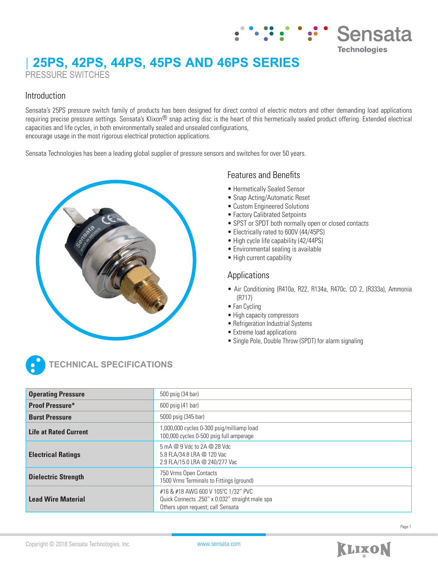# **| 25PS, 42PS, 44PS, 45PS AND 46PS SERIES** PRESSURE SWITCHES

### Introduction

Sensata's 25PS pressure switch family of products has been designed for direct control of electric motors and other demanding load applications requiring precise pressure settings. Sensata's Klixon<sup>®</sup> snap acting disc is the heart of this hermetically sealed product offering. Extended electrical capacities and life cycles, in both environmentally sealed and unsealed configurations, encourage usage in the most rigorous electrical protection applications.

Sensata Technologies has been a leading global supplier of pressure sensors and switches for over 50 years.



## Features and Benefits

- Hermetically Sealed Sensor
- Snap Acting/Automatic Reset
- Custom Engineered Solutions
- Factory Calibrated Setpoints
- SPST or SPDT both normally open or closed contacts
- Electrically rated to 600V (44/45PS)
- High cycle life capability (42/44PS)
- Environmental sealing is available
- High current capability

### Applications

• Air Conditioning (R410a, R22, R134a, R470c, CO 2, (R333a), Ammonia (R717)

Sensata

**Technologies** 

- Fan Cycling
- High capacity compressors
- Refrigeration Industrial Systems
- Extreme load applications
- Single Pole, Double Throw (SPDT) for alarm signaling



**TECHNICAL SPECIFICATIONS**

| <b>Operating Pressure</b>    | 500 psig (34 bar)                                                                                                           |
|------------------------------|-----------------------------------------------------------------------------------------------------------------------------|
| <b>Proof Pressure*</b>       | 600 psig (41 bar)                                                                                                           |
| <b>Burst Pressure</b>        | 5000 psig (345 bar)                                                                                                         |
| <b>Life at Rated Current</b> | 1,000,000 cycles 0-300 psig/milliamp load<br>100,000 cycles 0-500 psig full amperage                                        |
| <b>Electrical Ratings</b>    | 5 mA @ 9 Vdc to 2A @ 28 Vdc<br>5.8 FLA/34.8 LRA @ 120 Vac<br>2.9 FLA/15.0 LRA @ 240/277 Vac                                 |
| <b>Dielectric Strength</b>   | 750 Vrms Open Contacts<br>1500 Vrms Terminals to Fittings (ground)                                                          |
| <b>Lead Wire Material</b>    | #16 & #18 AWG 600 V 105°C 1/32" PVC<br>Quick Connects .250" x 0.032" straight male spa<br>Others upon request; call Sensata |

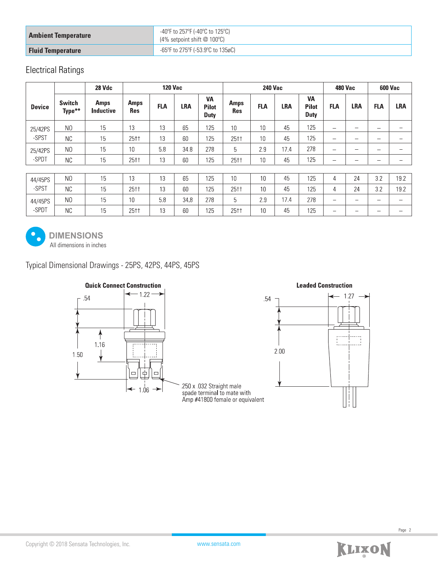| <b>Ambient Temperature</b> | -40°F to 257°F (-40°C to 125°C)<br>(4% setpoint shift @ 100°C) |
|----------------------------|----------------------------------------------------------------|
| <b>Fluid Temperature</b>   | -65°F to 275°F (-53.9°C to 135øC)                              |

## Electrical Ratings

|                  |                         | 28 Vdc                          | <b>120 Vac</b>            |            |            |                                          | <b>240 Vac</b>            |            |      |                                          | <b>480 Vac</b> |                          | <b>600 Vac</b>           |                          |
|------------------|-------------------------|---------------------------------|---------------------------|------------|------------|------------------------------------------|---------------------------|------------|------|------------------------------------------|----------------|--------------------------|--------------------------|--------------------------|
| <b>Device</b>    | <b>Switch</b><br>Type** | <b>Amps</b><br><b>Inductive</b> | <b>Amps</b><br><b>Res</b> | <b>FLA</b> | <b>LRA</b> | <b>VA</b><br><b>Pilot</b><br><b>Duty</b> | <b>Amps</b><br><b>Res</b> | <b>FLA</b> | LRA  | <b>VA</b><br><b>Pilot</b><br><b>Duty</b> | <b>FLA</b>     | <b>LRA</b>               | <b>FLA</b>               | <b>LRA</b>               |
| 25/42PS          | N <sub>0</sub>          | 15                              | 13                        | 13         | 65         | 125                                      | 10                        | 10         | 45   | 125                                      | -              | -                        | -                        | $\overline{\phantom{m}}$ |
| -SPST            | NC.                     | 15                              | 25 <sup>†</sup>           | 13         | 60         | 125                                      | 25††                      | 10         | 45   | 125                                      | -              | $\overline{\phantom{0}}$ | -                        | $\overline{\phantom{0}}$ |
| 25/42PS<br>-SPDT | N <sub>0</sub>          | 15                              | 10                        | 5.8        | 34.8       | 278                                      | 5                         | 2.9        | 17.4 | 278                                      | -              | $\overline{\phantom{0}}$ | -                        | —                        |
|                  | <b>NC</b>               | 15                              | 25 <sup>†</sup>           | 13         | 60         | 125                                      | 25††                      | 10         | 45   | 125                                      |                | -                        | -                        | —                        |
|                  |                         |                                 |                           |            |            |                                          |                           |            |      |                                          |                |                          |                          |                          |
| 44/45PS<br>-SPST | N <sub>0</sub>          | 15                              | 13                        | 13         | 65         | 125                                      | 10                        | 10         | 45   | 125                                      | 4              | 24                       | 3.2                      | 19.2                     |
|                  | NC.                     | 15                              | 25 <sup>†</sup>           | 13         | 60         | 125                                      | 25††                      | 10         | 45   | 125                                      | 4              | 24                       | 3.2                      | 19.2                     |
| 44/45PS          | N <sub>0</sub>          | 15                              | 10                        | 5.8        | 34.8       | 278                                      | 5                         | 2.9        | 17.4 | 278                                      | -              | -                        | $\overline{\phantom{0}}$ | $\overline{\phantom{0}}$ |
| -SPDT            | <b>NC</b>               | 15                              | 25††                      | 13         | 60         | 125                                      | 25††                      | 10         | 45   | 125                                      | -              | -                        | -                        | $\overline{\phantom{m}}$ |



All dimensions in inches **DIMENSIONS**

Typical Dimensional Drawings - 25PS, 42PS, 44PS, 45PS